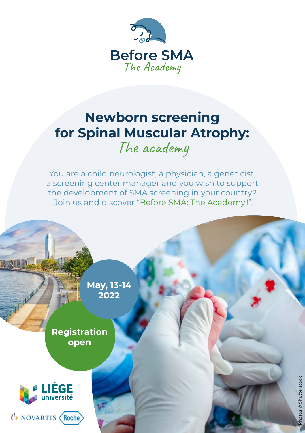

# **Newborn screening for Spinal Muscular Atrophy:**

The academy

You are a child neurologist, a physician, a geneticist, a screening center manager and you wish to support the development of SMA screening in your country? Join us and discover "Before SMA: The Academy !".